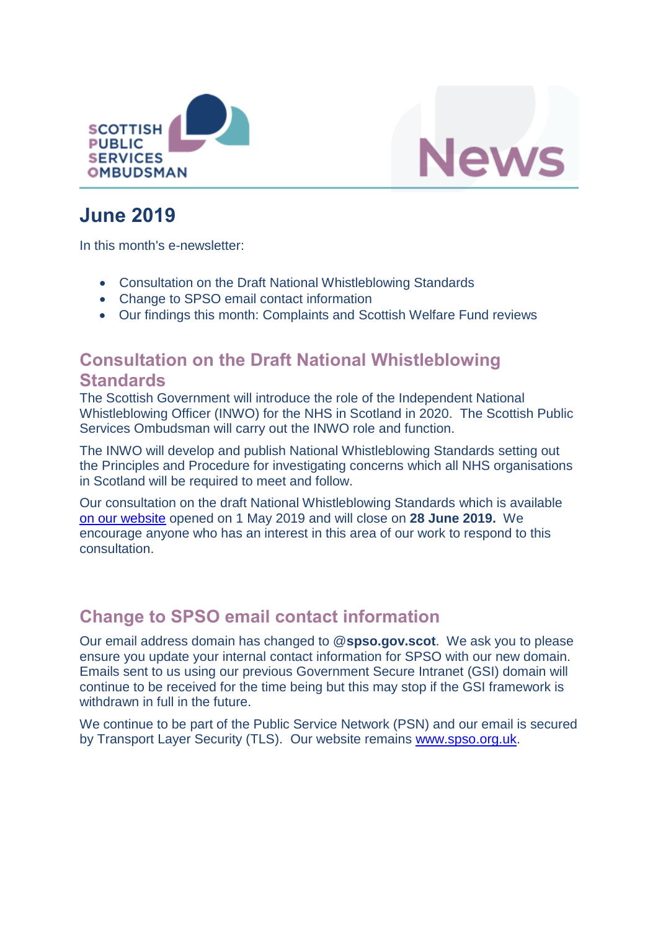



# **June 2019**

In this month's e-newsletter:

- Consultation on the Draft National Whistleblowing Standards
- Change to SPSO email contact information
- Our findings this month: Complaints and Scottish Welfare Fund reviews

### **Consultation on the Draft National Whistleblowing Standards**

The Scottish Government will introduce the role of the Independent National Whistleblowing Officer (INWO) for the NHS in Scotland in 2020. The Scottish Public Services Ombudsman will carry out the INWO role and function.

The INWO will develop and publish National Whistleblowing Standards setting out the Principles and Procedure for investigating concerns which all NHS organisations in Scotland will be required to meet and follow.

Our consultation on the draft National Whistleblowing Standards which is available [on our website](https://www.spso.org.uk/consultation-the-draft-national-whistleblowing-standards) opened on 1 May 2019 and will close on **28 June 2019.** We encourage anyone who has an interest in this area of our work to respond to this consultation.

## **Change to SPSO email contact information**

Our email address domain has changed to @**spso.gov.scot**. We ask you to please ensure you update your internal contact information for SPSO with our new domain. Emails sent to us using our previous Government Secure Intranet (GSI) domain will continue to be received for the time being but this may stop if the GSI framework is withdrawn in full in the future.

We continue to be part of the Public Service Network (PSN) and our email is secured by Transport Layer Security (TLS). Our website remains [www.spso.org.uk.](http://www.spso.org.uk/)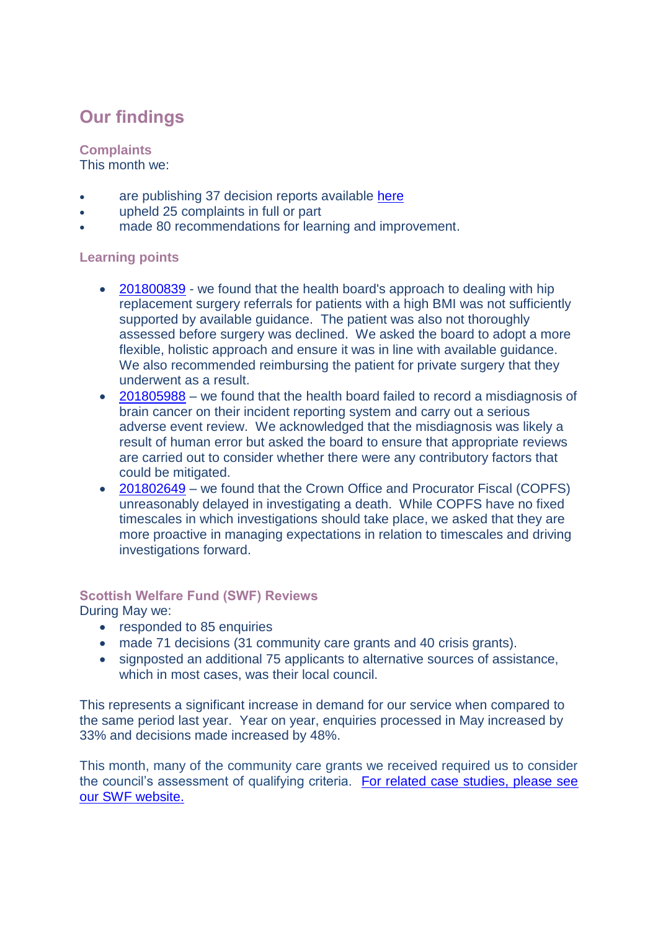## **Our findings**

### **Complaints**

This month we:

- are publishing 37 decision reports available [here](https://www.spso.org.uk/our-findings)
- upheld 25 complaints in full or part
- made 80 recommendations for learning and improvement.

#### **Learning points**

- [201800839](https://www.spso.org.uk/decision-reports/2019/june/decision-report-201800839-201800839) we found that the health board's approach to dealing with hip replacement surgery referrals for patients with a high BMI was not sufficiently supported by available guidance. The patient was also not thoroughly assessed before surgery was declined. We asked the board to adopt a more flexible, holistic approach and ensure it was in line with available guidance. We also recommended reimbursing the patient for private surgery that they underwent as a result.
- [201805988](https://www.spso.org.uk/decision-reports/2019/june/decision-report-201805988-201805988) we found that the health board failed to record a misdiagnosis of brain cancer on their incident reporting system and carry out a serious adverse event review. We acknowledged that the misdiagnosis was likely a result of human error but asked the board to ensure that appropriate reviews are carried out to consider whether there were any contributory factors that could be mitigated.
- [201802649](https://www.spso.org.uk/decision-reports/2019/june/decision-report-201802649-201802649) we found that the Crown Office and Procurator Fiscal (COPFS) unreasonably delayed in investigating a death. While COPFS have no fixed timescales in which investigations should take place, we asked that they are more proactive in managing expectations in relation to timescales and driving investigations forward.

#### **Scottish Welfare Fund (SWF) Reviews**

During May we:

- responded to 85 enquiries
- made 71 decisions (31 community care grants and 40 crisis grants).
- signposted an additional 75 applicants to alternative sources of assistance, which in most cases, was their local council.

This represents a significant increase in demand for our service when compared to the same period last year. Year on year, enquiries processed in May increased by 33% and decisions made increased by 48%.

This month, many of the community care grants we received required us to consider the council's assessment of qualifying criteria. For related case studies, please see [our SWF website.](https://www.spso.org.uk/scottishwelfarefund/case-summaries#undefined)